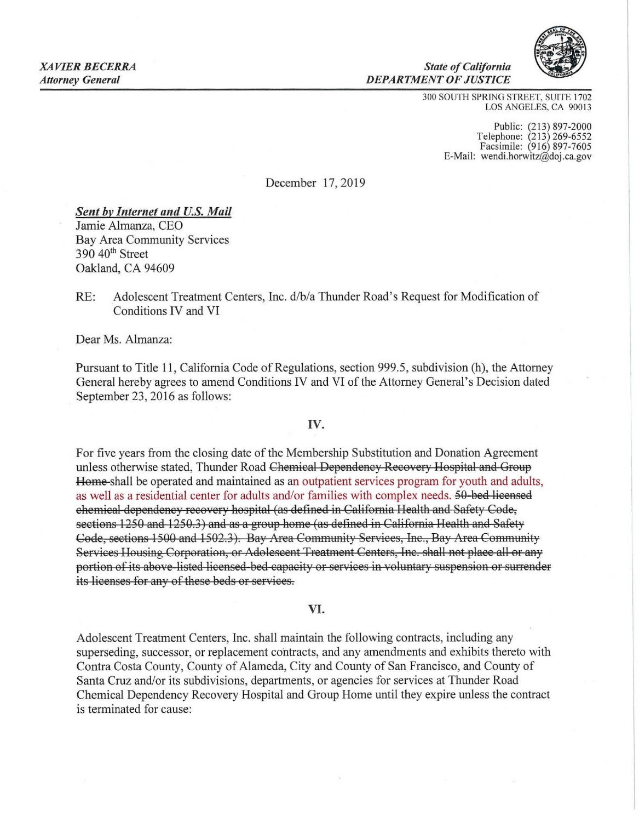

300 SOUTH SPRING STREET, SUITE 1702 LOS ANGELES, CA 90013

*State of Califomia* 

*DEPARTMENT OF JUSTICE* 

Public: (213) 897-2000 Te lephone: (213) 269-6552 Facsimile: (916) 897-7605 E-Mail: wendi.horwitz@doj.ca.gov

December 17, 2019

## *Sent by Internet and U.S. Mail*

Jamie Almanza, CEO Bay Area Community Services 390 40<sup>th</sup> Street Oakland, CA 94609

RE: Adolescent Treatment Centers, Inc. d/b/a Thunder Road's Request for Modification of Conditions IV and VI

Dear Ms. Almanza:

Pursuant to Title 11, California Code of Regulations , section 999.5 , subdivision (h), the Attorney General hereby agrees to amend Conditions IV and VI of the Attorney General 's Decision dated September 23, 2016 as follows:

## IV.

For five years from the closing date of the Membership Substitution and Donation Agreement unless otherwise stated, Thunder Road Chemical Dependency Recovery Hospital and Group Home shall be operated and maintained as an outpatient services program for youth and adults, as well as a residential center for adults and/or families with complex needs. 50 bed licensed chemical dependency recovery hospital (as defined in California Health and Safety Code, sections 1250 and 1250.3) and as a group home (as defined in California Health and Safety Code, sections 1500 and 1502.3). Bay Area Community Services, Inc., Bay Area Community Services Housing Corporation, or Adolescent Treatment Centers, Inc . shall not place all or any portion of its above listed licensed bed capacity or services in voluntary suspension or surrender its licenses for any of these beds or services.

## VI.

Adolescent Treatment Centers, Inc. shall maintain the following contracts, including any superseding, successor, or replacement contracts , and any amendments and exhibits thereto with Contra Costa County, County of Alameda, City and County of San Francisco, and County of Santa Cruz and/or its subdivisions, departments, or agencies for services at Thunder Road Chemical Dependency Recovery Hospital and Group Home until they expire unless the contract is terminated for cause: